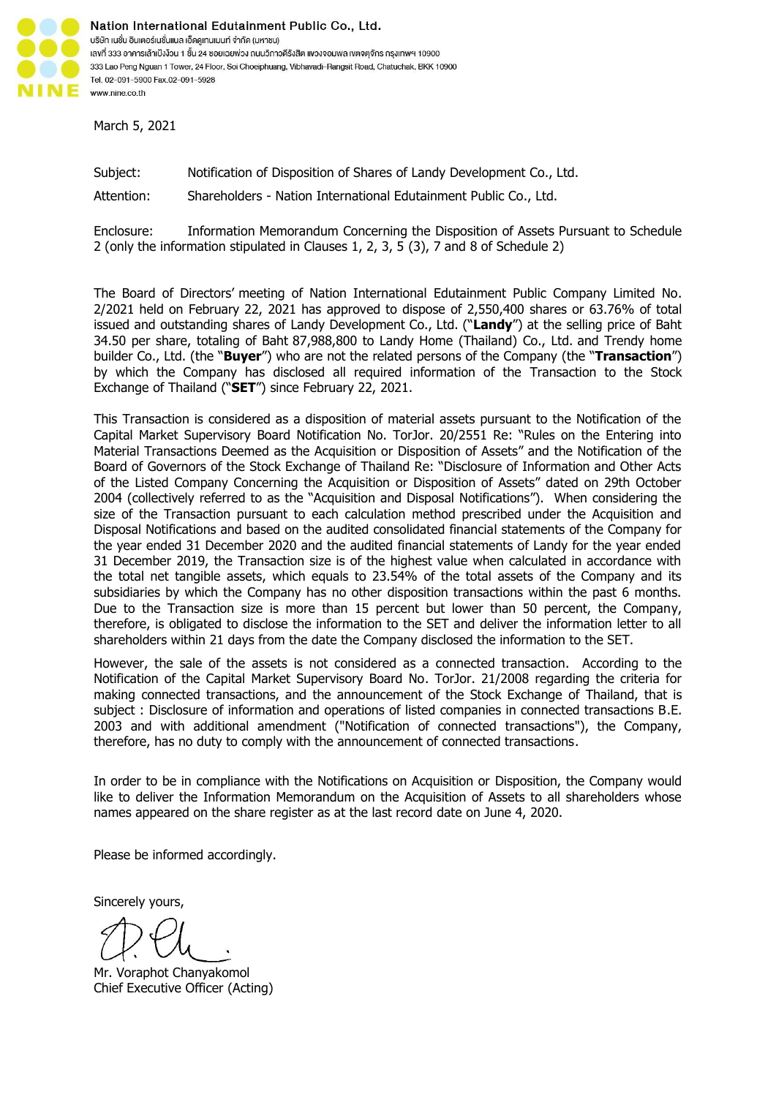

Nation International Edutainment Public Co., Ltd. บริษัท เนชั่น อินเตอร์เนชั่นแนล เอ็ดคูเทนเมนท์ จำกัด (มหาชน) เลงที่ 333 อาคารเล้าเป้งง้วน 1 ชั้น 24 ซอยเฉยพ่วง ถนนวิภาวดีรังสิต แงวงจอมพล เขตจตุจักร กรุงเทพฯ 10900 333 Lao Peng Nguan 1 Tower, 24 Floor, Soi Choeiphuang, Vibhavadi-Rangsit Road, Chatuchak, BKK 10900 Tel. 02-091-5900 Fax.02-091-5928 www.nine.co.th

March 5, 2021

Subject: Notification of Disposition of Shares of Landy Development Co., Ltd.

Attention: Shareholders - Nation International Edutainment Public Co., Ltd.

Enclosure: Information Memorandum Concerning the Disposition of Assets Pursuant to Schedule 2 (only the information stipulated in Clauses 1, 2, 3, 5 (3), 7 and 8 of Schedule 2)

The Board of Directors' meeting of Nation International Edutainment Public Company Limited No. 2/2021 held on February 22, 2021 has approved to dispose of 2,550,400 shares or 63.76% of total issued and outstanding shares of Landy Development Co., Ltd. ("**Landy**") at the selling price of Baht 34.50 per share, totaling of Baht 87,988,800 to Landy Home (Thailand) Co., Ltd. and Trendy home builder Co., Ltd. (the "**Buyer**") who are not the related persons of the Company (the "**Transaction**") by which the Company has disclosed all required information of the Transaction to the Stock Exchange of Thailand ("**SET**") since February 22, 2021.

This Transaction is considered as a disposition of material assets pursuant to the Notification of the Capital Market Supervisory Board Notification No. TorJor. 20/2551 Re: "Rules on the Entering into Material Transactions Deemed as the Acquisition or Disposition of Assets" and the Notification of the Board of Governors of the Stock Exchange of Thailand Re: "Disclosure of Information and Other Acts of the Listed Company Concerning the Acquisition or Disposition of Assets" dated on 29th October 2004 (collectively referred to as the "Acquisition and Disposal Notifications"). When considering the size of the Transaction pursuant to each calculation method prescribed under the Acquisition and Disposal Notifications and based on the audited consolidated financial statements of the Company for the year ended 31 December 2020 and the audited financial statements of Landy for the year ended 31 December 2019, the Transaction size is of the highest value when calculated in accordance with the total net tangible assets, which equals to 23.54% of the total assets of the Company and its subsidiaries by which the Company has no other disposition transactions within the past 6 months. Due to the Transaction size is more than 15 percent but lower than 50 percent, the Company, therefore, is obligated to disclose the information to the SET and deliver the information letter to all shareholders within 21 days from the date the Company disclosed the information to the SET.

However, the sale of the assets is not considered as a connected transaction. According to the Notification of the Capital Market Supervisory Board No. TorJor. 21/2008 regarding the criteria for making connected transactions, and the announcement of the Stock Exchange of Thailand, that is subject : Disclosure of information and operations of listed companies in connected transactions B.E. 2003 and with additional amendment ("Notification of connected transactions"), the Company, therefore, has no duty to comply with the announcement of connected transactions.

In order to be in compliance with the Notifications on Acquisition or Disposition, the Company would like to deliver the Information Memorandum on the Acquisition of Assets to all shareholders whose names appeared on the share register as at the last record date on June 4, 2020.

Please be informed accordingly.

Sincerely yours,

Mr. Voraphot Chanyakomol Chief Executive Officer (Acting)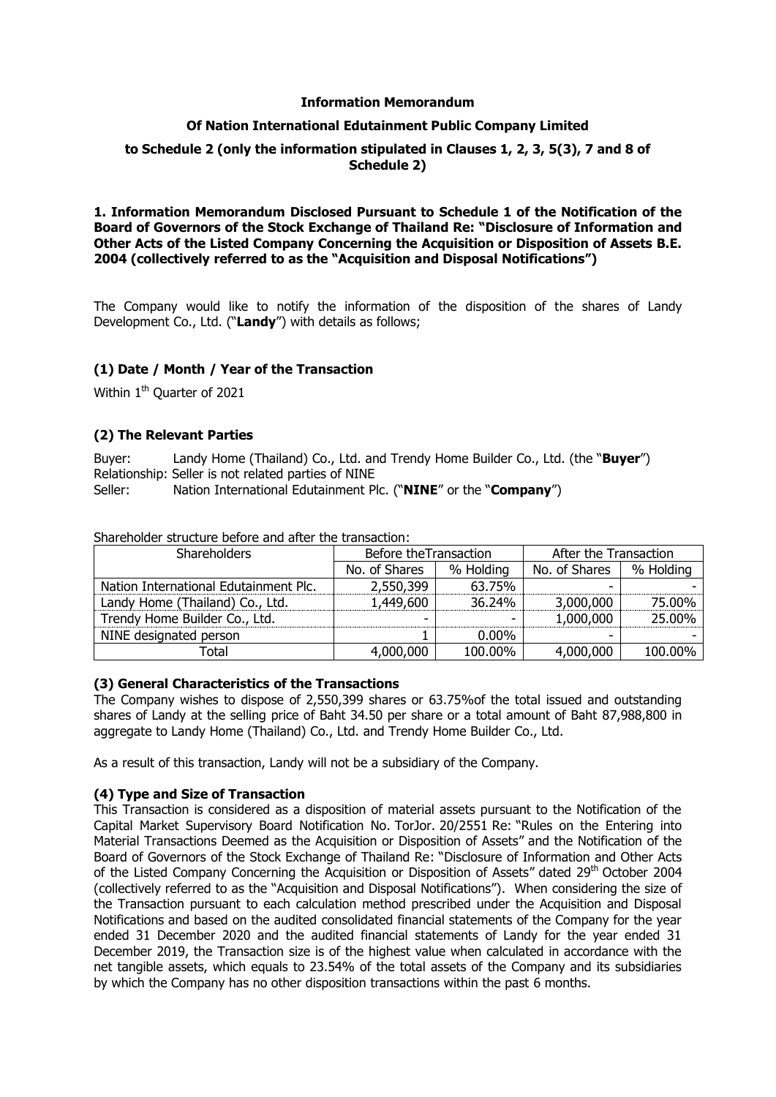### **Information Memorandum**

# **Of Nation International Edutainment Public Company Limited**

# **to Schedule 2 (only the information stipulated in Clauses 1, 2, 3, 5(3), 7 and 8 of Schedule 2)**

### **1. Information Memorandum Disclosed Pursuant to Schedule 1 of the Notification of the Board of Governors of the Stock Exchange of Thailand Re: "Disclosure of Information and Other Acts of the Listed Company Concerning the Acquisition or Disposition of Assets B.E. 2004 (collectively referred to as the "Acquisition and Disposal Notifications")**

The Company would like to notify the information of the disposition of the shares of Landy Development Co., Ltd. ("**Landy**") with details as follows;

# **(1) Date / Month / Year of the Transaction**

Within 1<sup>th</sup> Quarter of 2021

# **(2) The Relevant Parties**

Buyer: Landy Home (Thailand) Co., Ltd. and Trendy Home Builder Co., Ltd. (the "**Buyer**") Relationship: Seller is not related parties of NINE

Seller: Nation International Edutainment Plc. ("**NINE**" or the "**Company**")

| <b>Shareholders</b>                   | Before the Transaction     |          | After the Transaction |           |
|---------------------------------------|----------------------------|----------|-----------------------|-----------|
|                                       | No. of Shares<br>% Holding |          | No. of Shares         | % Holding |
| Nation International Edutainment Plc. | 2,550,399                  | 63.75%   |                       |           |
| Landy Home (Thailand) Co., Ltd.       | 1,449,600                  | 36.24%   | 3,000,000             | 75.00%    |
| Trendy Home Builder Co., Ltd.         |                            |          | 1,000,000             | 25.00%    |
| NINE designated person                |                            | $0.00\%$ |                       |           |
| Total                                 | 4,000,000                  | 100.00%  | 4,000,000             | 100.00%   |

Shareholder structure before and after the transaction:

# **(3) General Characteristics of the Transactions**

The Company wishes to dispose of 2,550,399 shares or 63.75%of the total issued and outstanding shares of Landy at the selling price of Baht 34.50 per share or a total amount of Baht 87,988,800 in aggregate to Landy Home (Thailand) Co., Ltd. and Trendy Home Builder Co., Ltd.

As a result of this transaction, Landy will not be a subsidiary of the Company.

# **(4) Type and Size of Transaction**

This Transaction is considered as a disposition of material assets pursuant to the Notification of the Capital Market Supervisory Board Notification No. TorJor. 20/2551 Re: "Rules on the Entering into Material Transactions Deemed as the Acquisition or Disposition of Assets" and the Notification of the Board of Governors of the Stock Exchange of Thailand Re: "Disclosure of Information and Other Acts of the Listed Company Concerning the Acquisition or Disposition of Assets" dated 29<sup>th</sup> October 2004 (collectively referred to as the "Acquisition and Disposal Notifications"). When considering the size of the Transaction pursuant to each calculation method prescribed under the Acquisition and Disposal Notifications and based on the audited consolidated financial statements of the Company for the year ended 31 December 2020 and the audited financial statements of Landy for the year ended 31 December 2019, the Transaction size is of the highest value when calculated in accordance with the net tangible assets, which equals to 23.54% of the total assets of the Company and its subsidiaries by which the Company has no other disposition transactions within the past 6 months.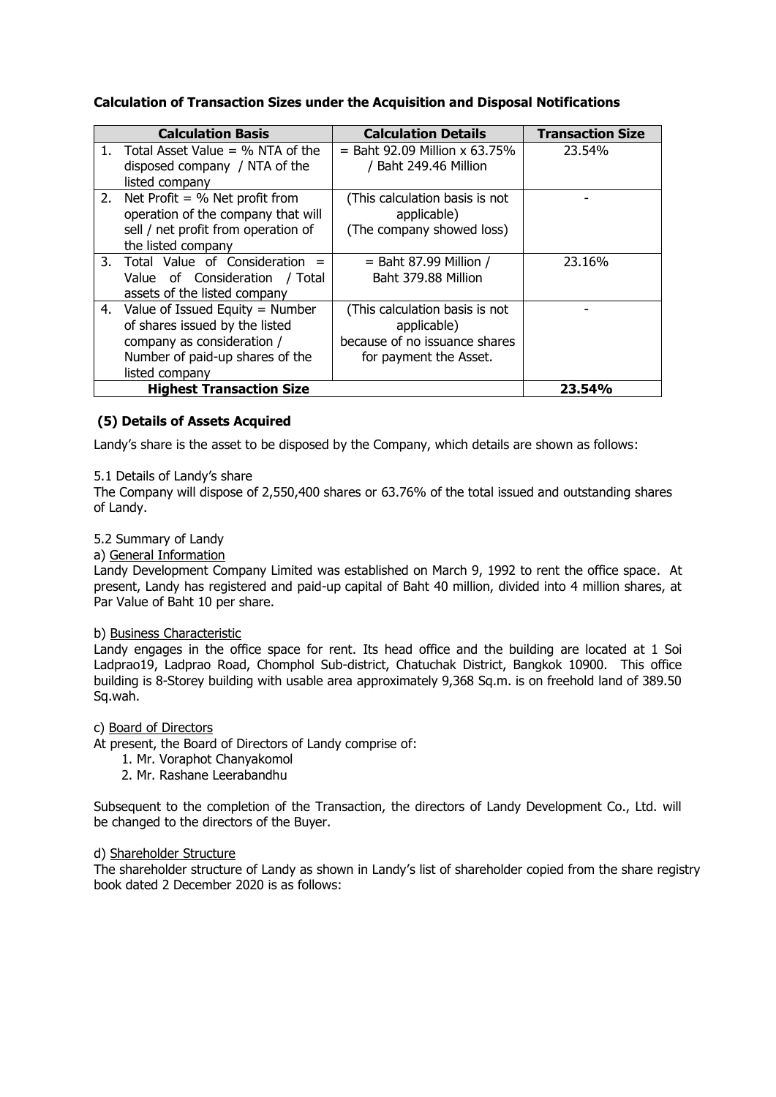# **Calculation of Transaction Sizes under the Acquisition and Disposal Notifications**

|         | <b>Calculation Basis</b>            | <b>Calculation Details</b>      | <b>Transaction Size</b> |
|---------|-------------------------------------|---------------------------------|-------------------------|
| $1_{-}$ | Total Asset Value $=$ % NTA of the  | $=$ Baht 92.09 Million x 63.75% | 23.54%                  |
|         | disposed company / NTA of the       | / Baht 249.46 Million           |                         |
|         | listed company                      |                                 |                         |
|         | 2. Net Profit = $%$ Net profit from | (This calculation basis is not  |                         |
|         | operation of the company that will  | applicable)                     |                         |
|         | sell / net profit from operation of | (The company showed loss)       |                         |
|         | the listed company                  |                                 |                         |
|         | 3. Total Value of Consideration     | $=$ Baht 87.99 Million /        | 23.16%                  |
|         | Value of Consideration / Total      | Baht 379.88 Million             |                         |
|         | assets of the listed company        |                                 |                         |
|         | 4. Value of Issued Equity = Number  | (This calculation basis is not  |                         |
|         | of shares issued by the listed      | applicable)                     |                         |
|         | company as consideration /          | because of no issuance shares   |                         |
|         | Number of paid-up shares of the     | for payment the Asset.          |                         |
|         | listed company                      |                                 |                         |
|         | <b>Highest Transaction Size</b>     |                                 | 23.54%                  |

# **(5) Details of Assets Acquired**

Landy's share is the asset to be disposed by the Company, which details are shown as follows:

#### 5.1 Details of Landy's share

The Company will dispose of 2,550,400 shares or 63.76% of the total issued and outstanding shares of Landy.

# 5.2 Summary of Landy

a) General Information

Landy Development Company Limited was established on March 9, 1992 to rent the office space. At present, Landy has registered and paid-up capital of Baht 40 million, divided into 4 million shares, at Par Value of Baht 10 per share.

#### b) Business Characteristic

Landy engages in the office space for rent. Its head office and the building are located at 1 Soi Ladprao19, Ladprao Road, Chomphol Sub-district, Chatuchak District, Bangkok 10900. This office building is 8-Storey building with usable area approximately 9,368 Sq.m. is on freehold land of 389.50 Sq.wah.

c) Board of Directors

At present, the Board of Directors of Landy comprise of:

- 1. Mr. Voraphot Chanyakomol
- 2. Mr. Rashane Leerabandhu

Subsequent to the completion of the Transaction, the directors of Landy Development Co., Ltd. will be changed to the directors of the Buyer.

# d) Shareholder Structure

The shareholder structure of Landy as shown in Landy's list of shareholder copied from the share registry book dated 2 December 2020 is as follows: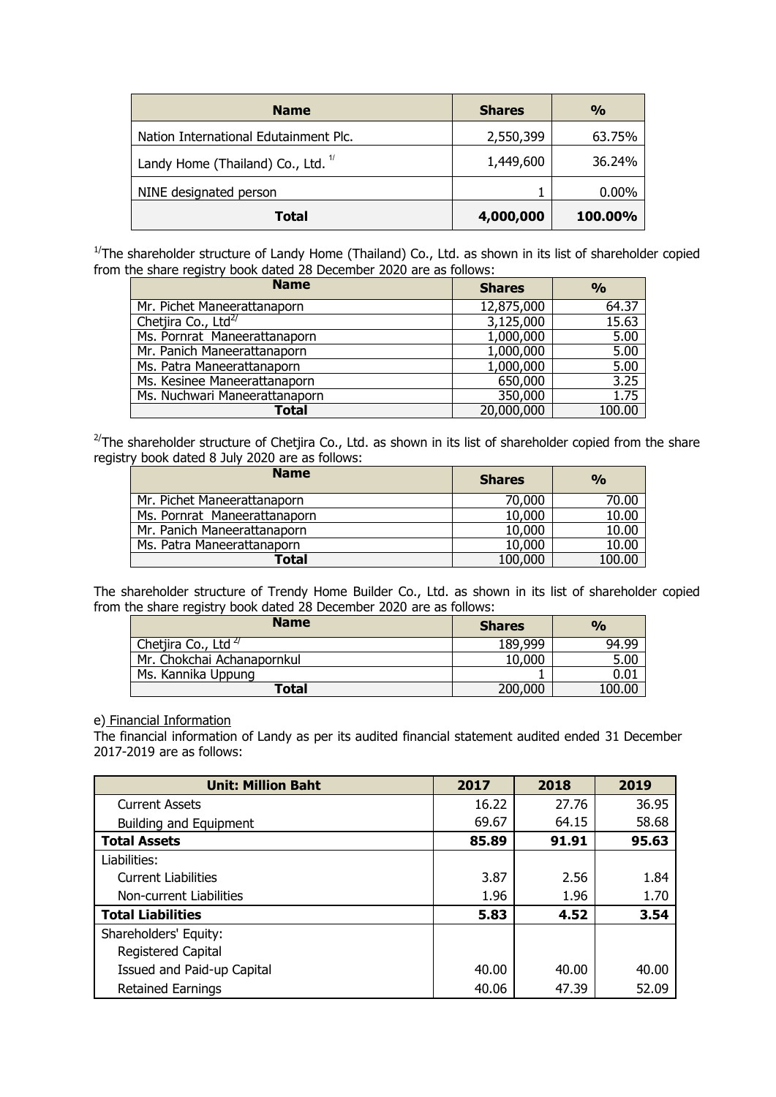| <b>Name</b>                                   | <b>Shares</b> | $\frac{0}{0}$ |
|-----------------------------------------------|---------------|---------------|
| Nation International Edutainment Plc.         | 2,550,399     | 63.75%        |
| Landy Home (Thailand) Co., Ltd. <sup>1/</sup> | 1,449,600     | 36.24%        |
| NINE designated person                        |               | $0.00\%$      |
| Total                                         | 4,000,000     | 100.00%       |

 $1/T$ he shareholder structure of Landy Home (Thailand) Co., Ltd. as shown in its list of shareholder copied from the share registry book dated 28 December 2020 are as follows:

| <b>Name</b>                     | <b>Shares</b> | $\frac{0}{0}$ |
|---------------------------------|---------------|---------------|
| Mr. Pichet Maneerattanaporn     | 12,875,000    | 64.37         |
| Chetjira Co., Ltd <sup>27</sup> | 3,125,000     | 15.63         |
| Ms. Pornrat Maneerattanaporn    | 1,000,000     | 5.00          |
| Mr. Panich Maneerattanaporn     | 1,000,000     | 5.00          |
| Ms. Patra Maneerattanaporn      | 1,000,000     | 5.00          |
| Ms. Kesinee Maneerattanaporn    | 650,000       | 3.25          |
| Ms. Nuchwari Maneerattanaporn   | 350,000       | 1.75          |
| <b>Total</b>                    | 20,000,000    | 100.00        |

 $^{2/}$ The shareholder structure of Chetjira Co., Ltd. as shown in its list of shareholder copied from the share registry book dated 8 July 2020 are as follows:

| <b>Name</b>                  | <b>Shares</b> | $\frac{0}{0}$ |
|------------------------------|---------------|---------------|
| Mr. Pichet Maneerattanaporn  | 70,000        | 70.00         |
| Ms. Pornrat Maneerattanaporn | 10,000        | 10.00         |
| Mr. Panich Maneerattanaporn  | 10,000        | 10.00         |
| Ms. Patra Maneerattanaporn   | 10,000        | 10.00         |
| Total                        | 100,000       | 100.00        |

The shareholder structure of Trendy Home Builder Co., Ltd. as shown in its list of shareholder copied from the share registry book dated 28 December 2020 are as follows:

| <b>Name</b>                     | <b>Shares</b> | $\frac{0}{0}$ |
|---------------------------------|---------------|---------------|
| Chetjira Co., Ltd <sup>2/</sup> | 189,999       | 94.99         |
| Mr. Chokchai Achanapornkul      | 10,000        | 5.00          |
| Ms. Kannika Uppung              |               | $0.01\,$      |
| <b>Total</b>                    | 200,000       | 100.00        |

#### e) Financial Information

The financial information of Landy as per its audited financial statement audited ended 31 December 2017-2019 are as follows:

| <b>Unit: Million Baht</b>     | 2017  | 2018  | 2019  |
|-------------------------------|-------|-------|-------|
| <b>Current Assets</b>         | 16.22 | 27.76 | 36.95 |
| <b>Building and Equipment</b> | 69.67 | 64.15 | 58.68 |
| <b>Total Assets</b>           | 85.89 | 91.91 | 95.63 |
| Liabilities:                  |       |       |       |
| <b>Current Liabilities</b>    | 3.87  | 2.56  | 1.84  |
| Non-current Liabilities       | 1.96  | 1.96  | 1.70  |
| <b>Total Liabilities</b>      | 5.83  | 4.52  | 3.54  |
| Shareholders' Equity:         |       |       |       |
| Registered Capital            |       |       |       |
| Issued and Paid-up Capital    | 40.00 | 40.00 | 40.00 |
| <b>Retained Earnings</b>      | 40.06 | 47.39 | 52.09 |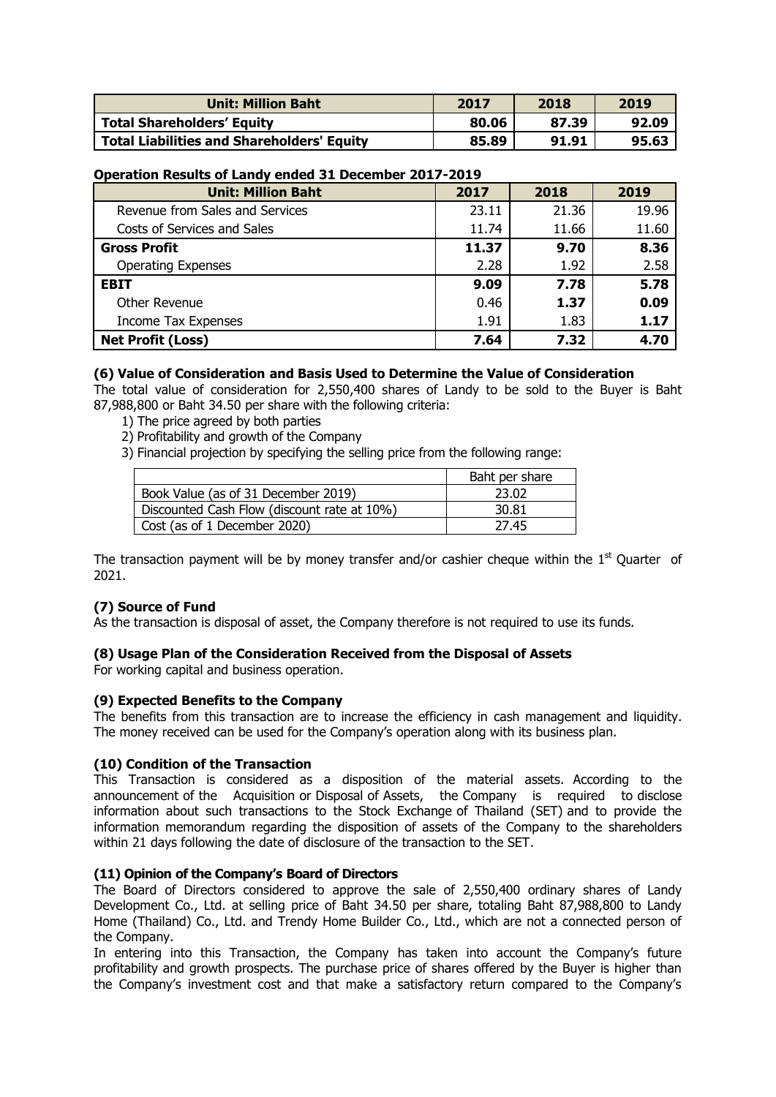| <b>Unit: Million Baht</b>                         | 2017  | 2018  | 2019  |
|---------------------------------------------------|-------|-------|-------|
| <b>Total Shareholders' Equity</b>                 | 80.06 | 87.39 | 92.09 |
| <b>Total Liabilities and Shareholders' Equity</b> | 85.89 | 91.91 | 95.63 |

### **Operation Results of Landy ended 31 December 2017-2019**

| <b>Unit: Million Baht</b>       | 2017  | 2018  | 2019  |
|---------------------------------|-------|-------|-------|
| Revenue from Sales and Services | 23.11 | 21.36 | 19.96 |
| Costs of Services and Sales     | 11.74 | 11.66 | 11.60 |
| <b>Gross Profit</b>             | 11.37 | 9.70  | 8.36  |
| <b>Operating Expenses</b>       | 2.28  | 1.92  | 2.58  |
| <b>EBIT</b>                     | 9.09  | 7.78  | 5.78  |
| Other Revenue                   | 0.46  | 1.37  | 0.09  |
| Income Tax Expenses             | 1.91  | 1.83  | 1.17  |
| <b>Net Profit (Loss)</b>        | 7.64  | 7.32  | 4.70  |

# **(6) Value of Consideration and Basis Used to Determine the Value of Consideration**

The total value of consideration for 2,550,400 shares of Landy to be sold to the Buyer is Baht 87,988,800 or Baht 34.50 per share with the following criteria:

- 1) The price agreed by both parties
- 2) Profitability and growth of the Company
- 3) Financial projection by specifying the selling price from the following range:

|                                             | Baht per share |
|---------------------------------------------|----------------|
| Book Value (as of 31 December 2019)         | 23.02          |
| Discounted Cash Flow (discount rate at 10%) | 30.81          |
| Cost (as of 1 December 2020)                | 27.45          |

The transaction payment will be by money transfer and/or cashier cheque within the  $1<sup>st</sup>$  Quarter of 2021.

# **(7) Source of Fund**

As the transaction is disposal of asset, the Company therefore is not required to use its funds.

#### **(8) Usage Plan of the Consideration Received from the Disposal of Assets**

For working capital and business operation.

#### **(9) Expected Benefits to the Company**

The benefits from this transaction are to increase the efficiency in cash management and liquidity. The money received can be used for the Company's operation along with its business plan.

#### **(10) Condition of the Transaction**

This Transaction is considered as a disposition of the material assets. According to the announcement of the Acquisition or Disposal of Assets, the Company is required to disclose information about such transactions to the Stock Exchange of Thailand (SET) and to provide the information memorandum regarding the disposition of assets of the Company to the shareholders within 21 days following the date of disclosure of the transaction to the SET.

#### **(11) Opinion of the Company's Board of Directors**

The Board of Directors considered to approve the sale of 2,550,400 ordinary shares of Landy Development Co., Ltd. at selling price of Baht 34.50 per share, totaling Baht 87,988,800 to Landy Home (Thailand) Co., Ltd. and Trendy Home Builder Co., Ltd., which are not a connected person of the Company.

In entering into this Transaction, the Company has taken into account the Company's future profitability and growth prospects. The purchase price of shares offered by the Buyer is higher than the Company's investment cost and that make a satisfactory return compared to the Company's